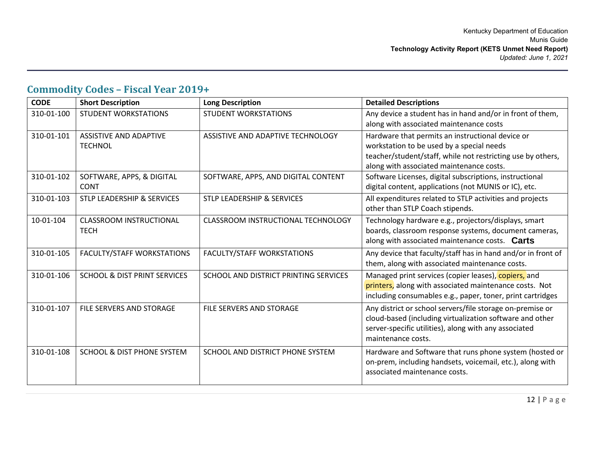## **Commodity Codes – Fiscal Year 2019+**

| <b>CODE</b> | <b>Short Description</b>                 | <b>Long Description</b>               | <b>Detailed Descriptions</b>                                                                                                                                                                             |
|-------------|------------------------------------------|---------------------------------------|----------------------------------------------------------------------------------------------------------------------------------------------------------------------------------------------------------|
| 310-01-100  | <b>STUDENT WORKSTATIONS</b>              | <b>STUDENT WORKSTATIONS</b>           | Any device a student has in hand and/or in front of them,<br>along with associated maintenance costs                                                                                                     |
| 310-01-101  | ASSISTIVE AND ADAPTIVE<br><b>TECHNOL</b> | ASSISTIVE AND ADAPTIVE TECHNOLOGY     | Hardware that permits an instructional device or<br>workstation to be used by a special needs<br>teacher/student/staff, while not restricting use by others,<br>along with associated maintenance costs. |
| 310-01-102  | SOFTWARE, APPS, & DIGITAL<br><b>CONT</b> | SOFTWARE, APPS, AND DIGITAL CONTENT   | Software Licenses, digital subscriptions, instructional<br>digital content, applications (not MUNIS or IC), etc.                                                                                         |
| 310-01-103  | <b>STLP LEADERSHIP &amp; SERVICES</b>    | <b>STLP LEADERSHIP &amp; SERVICES</b> | All expenditures related to STLP activities and projects<br>other than STLP Coach stipends.                                                                                                              |
| 10-01-104   | CLASSROOM INSTRUCTIONAL<br><b>TECH</b>   | CLASSROOM INSTRUCTIONAL TECHNOLOGY    | Technology hardware e.g., projectors/displays, smart<br>boards, classroom response systems, document cameras,<br>along with associated maintenance costs. Carts                                          |
| 310-01-105  | <b>FACULTY/STAFF WORKSTATIONS</b>        | <b>FACULTY/STAFF WORKSTATIONS</b>     | Any device that faculty/staff has in hand and/or in front of<br>them, along with associated maintenance costs.                                                                                           |
| 310-01-106  | <b>SCHOOL &amp; DIST PRINT SERVICES</b>  | SCHOOL AND DISTRICT PRINTING SERVICES | Managed print services (copier leases), copiers, and<br>printers, along with associated maintenance costs. Not<br>including consumables e.g., paper, toner, print cartridges                             |
| 310-01-107  | FILE SERVERS AND STORAGE                 | <b>FILE SERVERS AND STORAGE</b>       | Any district or school servers/file storage on-premise or<br>cloud-based (including virtualization software and other<br>server-specific utilities), along with any associated<br>maintenance costs.     |
| 310-01-108  | <b>SCHOOL &amp; DIST PHONE SYSTEM</b>    | SCHOOL AND DISTRICT PHONE SYSTEM      | Hardware and Software that runs phone system (hosted or<br>on-prem, including handsets, voicemail, etc.), along with<br>associated maintenance costs.                                                    |